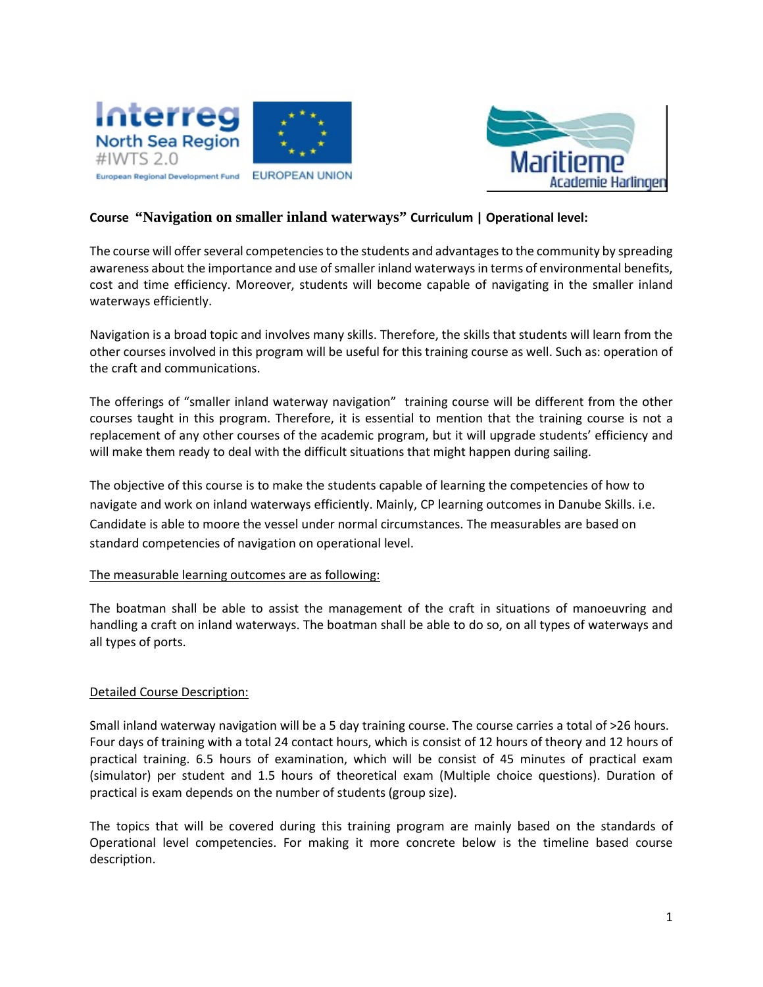



### **Course "Navigation on smaller inland waterways" Curriculum | Operational level:**

The course will offer several competencies to the students and advantages to the community by spreading awareness about the importance and use of smaller inland waterways in terms of environmental benefits, cost and time efficiency. Moreover, students will become capable of navigating in the smaller inland waterways efficiently.

Navigation is a broad topic and involves many skills. Therefore, the skills that students will learn from the other courses involved in this program will be useful for this training course as well. Such as: operation of the craft and communications.

The offerings of "smaller inland waterway navigation" training course will be different from the other courses taught in this program. Therefore, it is essential to mention that the training course is not a replacement of any other courses of the academic program, but it will upgrade students' efficiency and will make them ready to deal with the difficult situations that might happen during sailing.

The objective of this course is to make the students capable of learning the competencies of how to navigate and work on inland waterways efficiently. Mainly, CP learning outcomes in Danube Skills. i.e. Candidate is able to moore the vessel under normal circumstances. The measurables are based on standard competencies of navigation on operational level.

#### The measurable learning outcomes are as following:

The boatman shall be able to assist the management of the craft in situations of manoeuvring and handling a craft on inland waterways. The boatman shall be able to do so, on all types of waterways and all types of ports.

#### Detailed Course Description:

Small inland waterway navigation will be a 5 day training course. The course carries a total of >26 hours. Four days of training with a total 24 contact hours, which is consist of 12 hours of theory and 12 hours of practical training. 6.5 hours of examination, which will be consist of 45 minutes of practical exam (simulator) per student and 1.5 hours of theoretical exam (Multiple choice questions). Duration of practical is exam depends on the number of students (group size).

The topics that will be covered during this training program are mainly based on the standards of Operational level competencies. For making it more concrete below is the timeline based course description.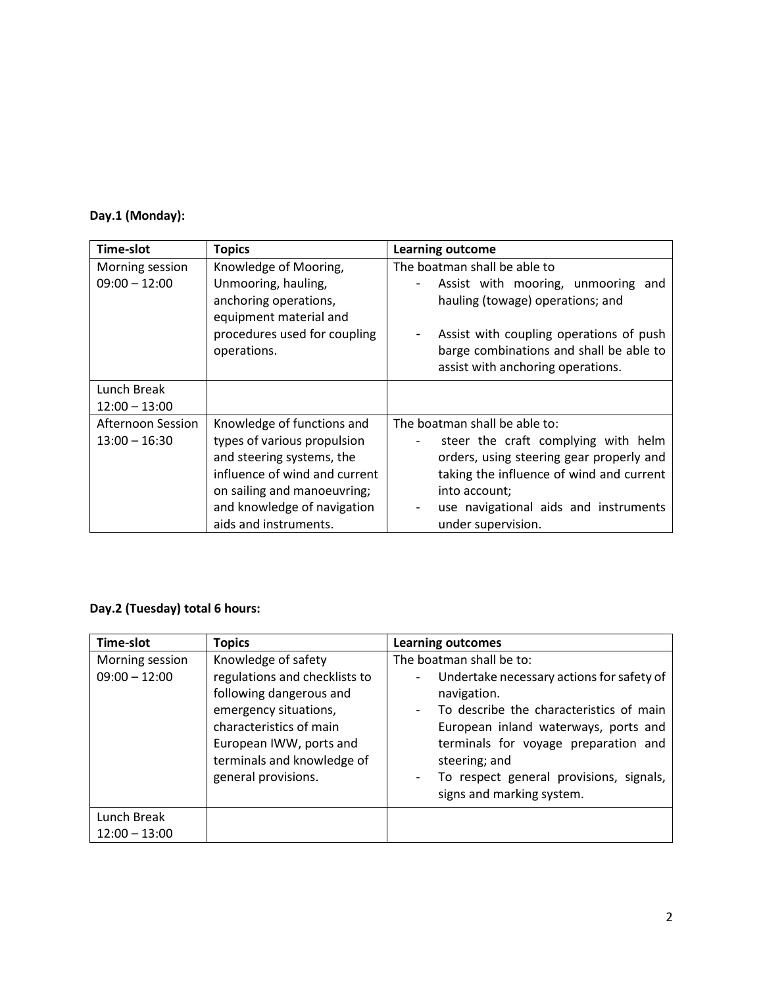# **Day.1 (Monday):**

| <b>Time-slot</b>                     | <b>Topics</b>                                                                                                                                                                                                  | <b>Learning outcome</b>                                                                                                                                                                                                                      |
|--------------------------------------|----------------------------------------------------------------------------------------------------------------------------------------------------------------------------------------------------------------|----------------------------------------------------------------------------------------------------------------------------------------------------------------------------------------------------------------------------------------------|
| Morning session<br>$09:00 - 12:00$   | Knowledge of Mooring,<br>Unmooring, hauling,<br>anchoring operations,<br>equipment material and<br>procedures used for coupling<br>operations.                                                                 | The boatman shall be able to<br>Assist with mooring, unmooring and<br>hauling (towage) operations; and<br>Assist with coupling operations of push<br>barge combinations and shall be able to<br>assist with anchoring operations.            |
| Lunch Break<br>$12:00 - 13:00$       |                                                                                                                                                                                                                |                                                                                                                                                                                                                                              |
| Afternoon Session<br>$13:00 - 16:30$ | Knowledge of functions and<br>types of various propulsion<br>and steering systems, the<br>influence of wind and current<br>on sailing and manoeuvring;<br>and knowledge of navigation<br>aids and instruments. | The boatman shall be able to:<br>steer the craft complying with helm<br>orders, using steering gear properly and<br>taking the influence of wind and current<br>into account;<br>use navigational aids and instruments<br>under supervision. |

# **Day.2 (Tuesday) total 6 hours:**

| <b>Time-slot</b>                   | <b>Topics</b>                                                                                                                                                                                                       | <b>Learning outcomes</b>                                                                                                                                                                                                                                                                                 |
|------------------------------------|---------------------------------------------------------------------------------------------------------------------------------------------------------------------------------------------------------------------|----------------------------------------------------------------------------------------------------------------------------------------------------------------------------------------------------------------------------------------------------------------------------------------------------------|
| Morning session<br>$09:00 - 12:00$ | Knowledge of safety<br>regulations and checklists to<br>following dangerous and<br>emergency situations,<br>characteristics of main<br>European IWW, ports and<br>terminals and knowledge of<br>general provisions. | The boatman shall be to:<br>Undertake necessary actions for safety of<br>navigation.<br>To describe the characteristics of main<br>European inland waterways, ports and<br>terminals for voyage preparation and<br>steering; and<br>To respect general provisions, signals,<br>signs and marking system. |
| Lunch Break<br>$12:00 - 13:00$     |                                                                                                                                                                                                                     |                                                                                                                                                                                                                                                                                                          |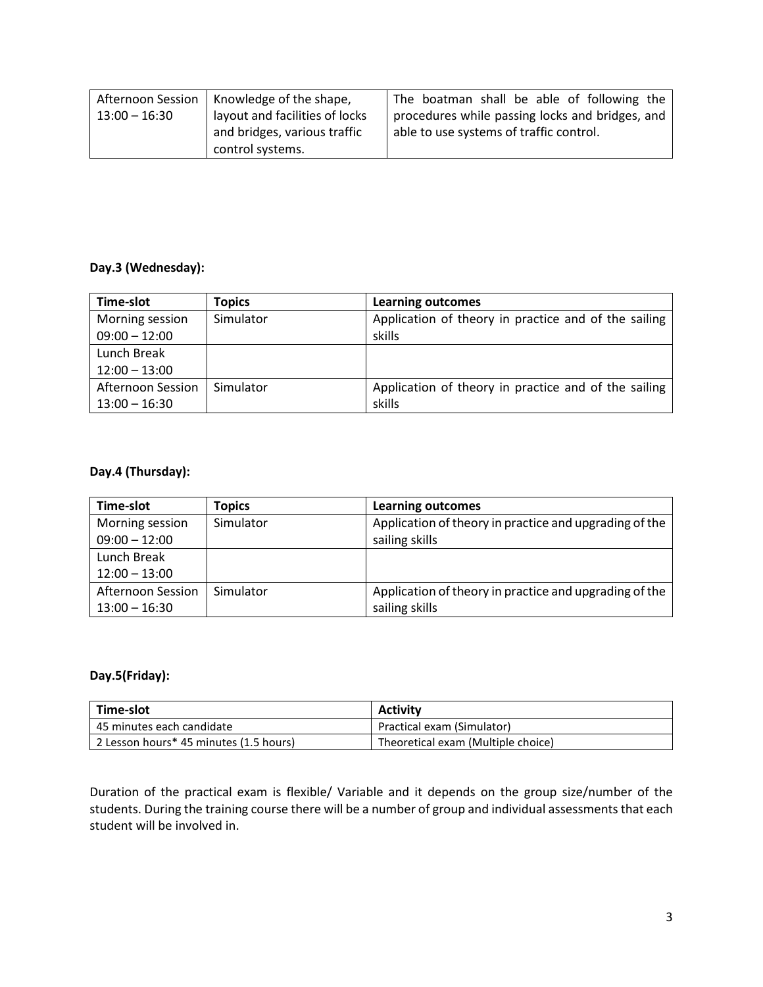| <b>Afternoon Session</b> | Knowledge of the shape,        | The boatman shall be able of following the      |
|--------------------------|--------------------------------|-------------------------------------------------|
| $13:00 - 16:30$          | layout and facilities of locks | procedures while passing locks and bridges, and |
|                          | and bridges, various traffic   | able to use systems of traffic control.         |
|                          | control systems.               |                                                 |

## **Day.3 (Wednesday):**

| Time-slot                | <b>Topics</b> | <b>Learning outcomes</b>                             |
|--------------------------|---------------|------------------------------------------------------|
| Morning session          | Simulator     | Application of theory in practice and of the sailing |
| $09:00 - 12:00$          |               | skills                                               |
| Lunch Break              |               |                                                      |
| $12:00 - 13:00$          |               |                                                      |
| <b>Afternoon Session</b> | Simulator     | Application of theory in practice and of the sailing |
| $13:00 - 16:30$          |               | skills                                               |

## **Day.4 (Thursday):**

| Time-slot                          | <b>Topics</b> | <b>Learning outcomes</b>                                                 |
|------------------------------------|---------------|--------------------------------------------------------------------------|
| Morning session<br>$09:00 - 12:00$ | Simulator     | Application of theory in practice and upgrading of the<br>sailing skills |
| Lunch Break                        |               |                                                                          |
| $12:00 - 13:00$                    |               |                                                                          |
| Afternoon Session                  | Simulator     | Application of theory in practice and upgrading of the                   |
| $13:00 - 16:30$                    |               | sailing skills                                                           |

## **Day.5(Friday):**

| Time-slot                              | <b>Activity</b>                    |
|----------------------------------------|------------------------------------|
| l 45 minutes each candidate            | Practical exam (Simulator)         |
| 2 Lesson hours* 45 minutes (1.5 hours) | Theoretical exam (Multiple choice) |

Duration of the practical exam is flexible/ Variable and it depends on the group size/number of the students. During the training course there will be a number of group and individual assessments that each student will be involved in.